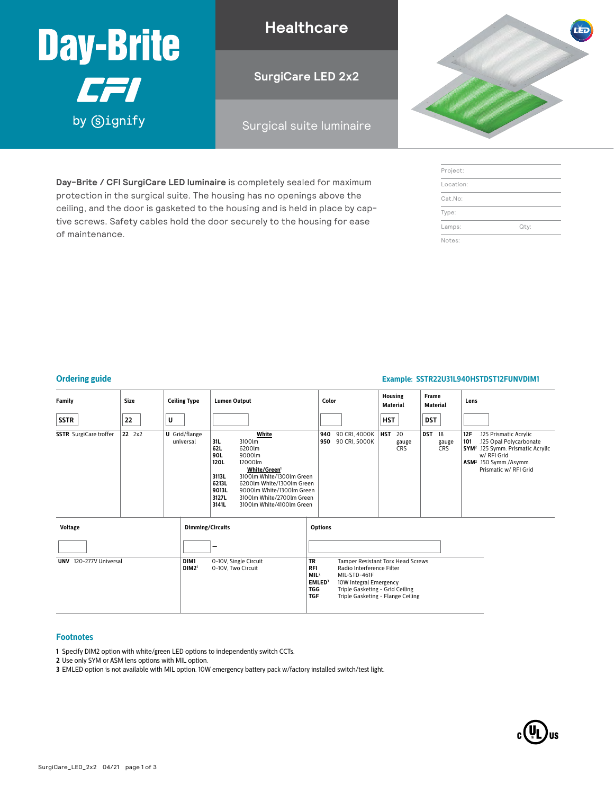

**Healthcare**

**SurgiCare LED 2x2**

### Surgical suite luminaire

**Day-Brite / CFI SurgiCare LED luminaire** is completely sealed for maximum protection in the surgical suite. The housing has no openings above the ceiling, and the door is gasketed to the housing and is held in place by captive screws. Safety cables hold the door securely to the housing for ease of maintenance.

| <b>LED</b> |
|------------|
|            |
|            |
|            |

| Project:  |      |
|-----------|------|
| Location: |      |
| Cat.No:   |      |
| Type:     |      |
| Lamps:    | Qty: |
| Notes:    |      |

#### **Ordering guide Example: SSTR22U31L940HSTDST12FUNVDIM1**

| Family                        | Size   | <b>Ceiling Type</b>               | <b>Lumen Output</b>                                                                                                                                                                                                                                                                       | Color                                                                                                                                                                                                  | Housing<br><b>Material</b>              | <b>Frame</b><br>Material         | Lens                                                                                                                                                                                           |
|-------------------------------|--------|-----------------------------------|-------------------------------------------------------------------------------------------------------------------------------------------------------------------------------------------------------------------------------------------------------------------------------------------|--------------------------------------------------------------------------------------------------------------------------------------------------------------------------------------------------------|-----------------------------------------|----------------------------------|------------------------------------------------------------------------------------------------------------------------------------------------------------------------------------------------|
| <b>SSTR</b>                   | 22     | U                                 |                                                                                                                                                                                                                                                                                           |                                                                                                                                                                                                        | <b>HST</b>                              | <b>DST</b>                       |                                                                                                                                                                                                |
| <b>SSTR</b> SurgiCare troffer | 22 2x2 | <b>U</b> Grid/flange<br>universal | White<br>31L<br>3100lm<br>62L<br>6200lm<br>90L<br>9000lm<br>120L<br>12000lm<br>White/Green1<br>3113L<br>3100lm White/1300lm Green<br>6213L<br>6200lm White/1300lm Green<br>9013L<br>9000lm White/1300lm Green<br>3127L<br>3100lm White/2700lm Green<br>3141L<br>3100lm White/4100lm Green | 940<br>90 CRI, 4000K<br>90 CRI, 5000K<br>950                                                                                                                                                           | <b>HST</b><br>20<br>gauge<br><b>CRS</b> | <b>DST</b><br>18<br>gauge<br>CRS | 12F<br>.125 Prismatic Acrylic<br>101<br>.125 Opal Polycarbonate<br>SYM <sup>2</sup> .125 Symm. Prismatic Acrylic<br>w/ RFI Grid<br>ASM <sup>2</sup> .150 Symm./Asymm.<br>Prismatic w/ RFI Grid |
| <b>Voltage</b>                |        | <b>Dimming/Circuits</b>           |                                                                                                                                                                                                                                                                                           | <b>Options</b>                                                                                                                                                                                         |                                         |                                  |                                                                                                                                                                                                |
|                               |        |                                   |                                                                                                                                                                                                                                                                                           |                                                                                                                                                                                                        |                                         |                                  |                                                                                                                                                                                                |
| 120-277V Universal<br>UNV     |        | DIM1<br>DIM2 <sup>1</sup>         | <b>TR</b><br>0-10V, Single Circuit<br>0-10V, Two Circuit<br><b>RFI</b><br>MIL <sup>2</sup><br><b>TGG</b><br><b>TGF</b>                                                                                                                                                                    | Tamper Resistant Torx Head Screws<br>Radio Interference Filter<br>MIL-STD-461F<br>EMLED <sup>3</sup><br>10W Integral Emergency<br>Triple Gasketing - Grid Ceiling<br>Triple Gasketing - Flange Ceiling |                                         |                                  |                                                                                                                                                                                                |

#### **Footnotes**

**1** Specify DIM2 option with white/green LED options to independently switch CCTs.

**2** Use only SYM or ASM lens options with MIL option.

**3** EMLED option is not available with MIL option. 10W emergency battery pack w/factory installed switch/test light.

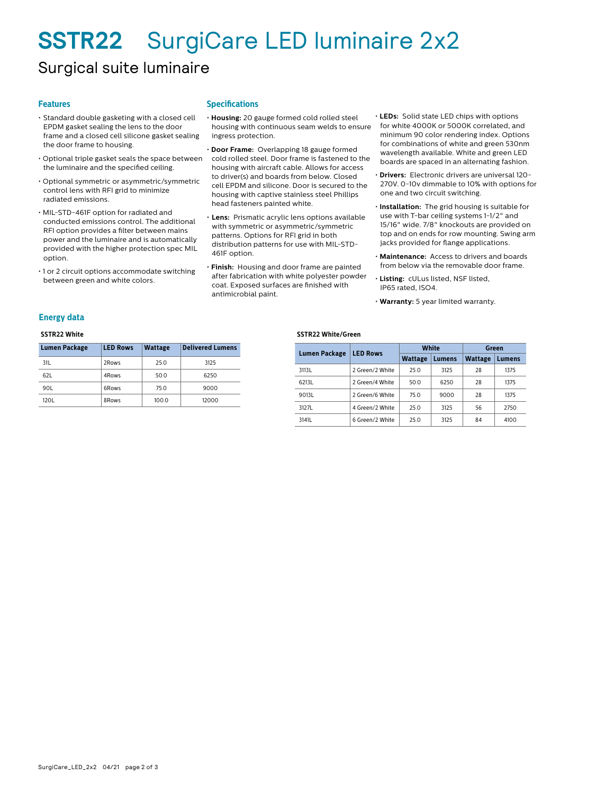# **SSTR22** SurgiCare LED luminaire 2x2

### Surgical suite luminaire

#### **Features**

- Standard double gasketing with a closed cell EPDM gasket sealing the lens to the door frame and a closed cell silicone gasket sealing the door frame to housing.
- Optional triple gasket seals the space between the luminaire and the specified ceiling.
- Optional symmetric or asymmetric/symmetric control lens with RFI grid to minimize radiated emissions.
- MIL-STD-461F option for radiated and conducted emissions control. The additional RFI option provides a filter between mains power and the luminaire and is automatically provided with the higher protection spec MIL option.
- 1 or 2 circuit options accommodate switching between green and white colors.

#### **Specifications**

- **Housing:** 20 gauge formed cold rolled steel housing with continuous seam welds to ensure ingress protection.
- **Door Frame:** Overlapping 18 gauge formed cold rolled steel. Door frame is fastened to the housing with aircraft cable. Allows for access to driver(s) and boards from below. Closed cell EPDM and silicone. Door is secured to the housing with captive stainless steel Phillips head fasteners painted white.
- **Lens:** Prismatic acrylic lens options available with symmetric or asymmetric/symmetric patterns. Options for RFI grid in both distribution patterns for use with MIL-STD-461F option.
- **Finish:** Housing and door frame are painted after fabrication with white polyester powder coat. Exposed surfaces are finished with antimicrobial paint.
- **LEDs:** Solid state LED chips with options for white 4000K or 5000K correlated, and minimum 90 color rendering index. Options for combinations of white and green 530nm wavelength available. White and green LED boards are spaced in an alternating fashion.
- **Drivers:** Electronic drivers are universal 120- 270V. 0-10v dimmable to 10% with options for one and two circuit switching.
- **Installation:** The grid housing is suitable for use with T-bar ceiling systems 1-1/2" and 15/16" wide. 7/8" knockouts are provided on top and on ends for row mounting. Swing arm jacks provided for flange applications.
- **Maintenance:** Access to drivers and boards from below via the removable door frame.
- **Listing:** cULus listed, NSF listed, IP65 rated, ISO4.
- **Warranty:** 5 year limited warranty.

#### **Energy data**

#### **SSTR22 White**

| <b>Lumen Package</b> | <b>LED Rows</b> | <b>Wattage</b> | <b>Delivered Lumens</b> |
|----------------------|-----------------|----------------|-------------------------|
| 31L                  | 2Rows           | 25.0           | 3125                    |
| 62L                  | 4Rows           | 50.0           | 6250                    |
| 90L                  | 6Rows           | 75.0           | 9000                    |
| 120L                 | 8Rows           | 100.0          | 12000                   |

#### **SSTR22 White/Green**

| <b>Lumen Package</b> | <b>LED Rows</b> |                | White  | Green          |        |  |
|----------------------|-----------------|----------------|--------|----------------|--------|--|
|                      |                 | <b>Wattage</b> | Lumens | <b>Wattage</b> | Lumens |  |
| 3113L                | 2 Green/2 White | 25.0           | 3125   | 28             | 1375   |  |
| 6213L                | 2 Green/4 White | 50.0           | 6250   | 28             | 1375   |  |
| 9013L                | 2 Green/6 White | 75.0           | 9000   | 28             | 1375   |  |
| 3127L                | 4 Green/2 White | 25.0           | 3125   | 56             | 2750   |  |
| 3141L                | 6 Green/2 White | 25.0           | 3125   | 84             | 4100   |  |